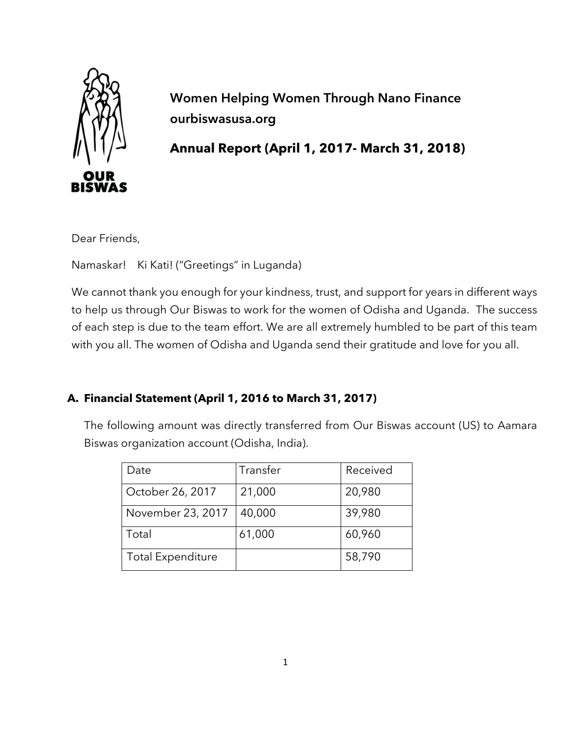

**Women Helping Women Through Nano Finance ourbiswasusa.org**

**Annual Report (April 1, 2017- March 31, 2018)**

Dear Friends,

Namaskar! Ki Kati! ("Greetings" in Luganda)

We cannot thank you enough for your kindness, trust, and support for years in different ways to help us through Our Biswas to work for the women of Odisha and Uganda. The success of each step is due to the team effort. We are all extremely humbled to be part of this team with you all. The women of Odisha and Uganda send their gratitude and love for you all.

# **A. Financial Statement (April 1, 2016 to March 31, 2017)**

The following amount was directly transferred from Our Biswas account (US) to Aamara Biswas organization account (Odisha, India).

| Date                     | Transfer | Received |
|--------------------------|----------|----------|
| October 26, 2017         | 21,000   | 20,980   |
| November 23, 2017        | 40,000   | 39,980   |
| Total                    | 61,000   | 60,960   |
| <b>Total Expenditure</b> |          | 58,790   |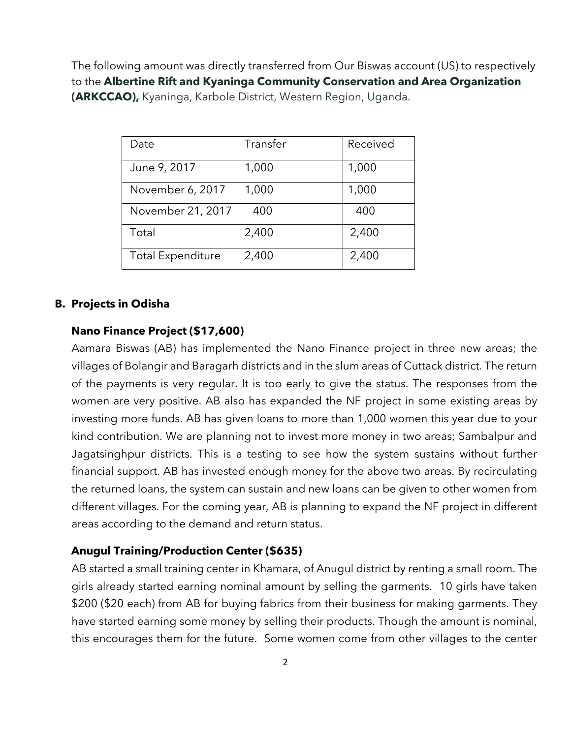The following amount was directly transferred from Our Biswas account (US) to respectively to the **Albertine Rift and Kyaninga Community Conservation and Area Organization (ARKCCAO),** Kyaninga, Karbole District, Western Region, Uganda.

| Date                     | Transfer | Received |
|--------------------------|----------|----------|
| June 9, 2017             | 1,000    | 1,000    |
| November 6, 2017         | 1,000    | 1,000    |
| November 21, 2017        | 400      | 400      |
| Total                    | 2,400    | 2,400    |
| <b>Total Expenditure</b> | 2,400    | 2,400    |

### **B. Projects in Odisha**

### **Nano Finance Project (\$17,600)**

Aamara Biswas (AB) has implemented the Nano Finance project in three new areas; the villages of Bolangir and Baragarh districts and in the slum areas of Cuttack district. The return of the payments is very regular. It is too early to give the status. The responses from the women are very positive. AB also has expanded the NF project in some existing areas by investing more funds. AB has given loans to more than 1,000 women this year due to your kind contribution. We are planning not to invest more money in two areas; Sambalpur and Jagatsinghpur districts. This is a testing to see how the system sustains without further financial support. AB has invested enough money for the above two areas. By recirculating the returned loans, the system can sustain and new loans can be given to other women from different villages. For the coming year, AB is planning to expand the NF project in different areas according to the demand and return status.

#### **Anugul Training/Production Center (\$635)**

AB started a small training center in Khamara, of Anugul district by renting a small room. The girls already started earning nominal amount by selling the garments. 10 girls have taken \$200 (\$20 each) from AB for buying fabrics from their business for making garments. They have started earning some money by selling their products. Though the amount is nominal, this encourages them for the future. Some women come from other villages to the center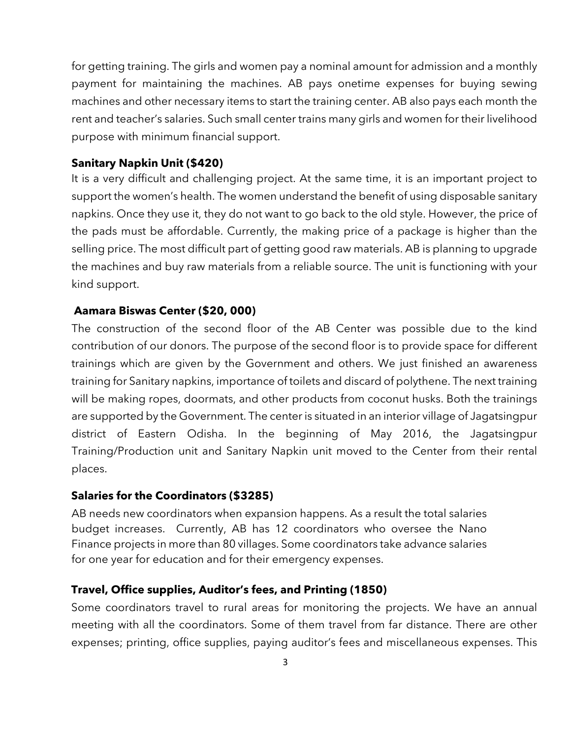for getting training. The girls and women pay a nominal amount for admission and a monthly payment for maintaining the machines. AB pays onetime expenses for buying sewing machines and other necessary items to start the training center. AB also pays each month the rent and teacher's salaries. Such small center trains many girls and women for their livelihood purpose with minimum financial support.

## **Sanitary Napkin Unit (\$420)**

It is a very difficult and challenging project. At the same time, it is an important project to support the women's health. The women understand the benefit of using disposable sanitary napkins. Once they use it, they do not want to go back to the old style. However, the price of the pads must be affordable. Currently, the making price of a package is higher than the selling price. The most difficult part of getting good raw materials. AB is planning to upgrade the machines and buy raw materials from a reliable source. The unit is functioning with your kind support.

## **Aamara Biswas Center (\$20, 000)**

The construction of the second floor of the AB Center was possible due to the kind contribution of our donors. The purpose of the second floor is to provide space for different trainings which are given by the Government and others. We just finished an awareness training for Sanitary napkins, importance of toilets and discard of polythene. The next training will be making ropes, doormats, and other products from coconut husks. Both the trainings are supported by the Government. The center is situated in an interior village of Jagatsingpur district of Eastern Odisha. In the beginning of May 2016, the Jagatsingpur Training/Production unit and Sanitary Napkin unit moved to the Center from their rental places.

#### **Salaries for the Coordinators (\$3285)**

AB needs new coordinators when expansion happens. As a result the total salaries budget increases. Currently, AB has 12 coordinators who oversee the Nano Finance projects in more than 80 villages. Some coordinators take advance salaries for one year for education and for their emergency expenses.

#### **Travel, Office supplies, Auditor's fees, and Printing (1850)**

Some coordinators travel to rural areas for monitoring the projects. We have an annual meeting with all the coordinators. Some of them travel from far distance. There are other expenses; printing, office supplies, paying auditor's fees and miscellaneous expenses. This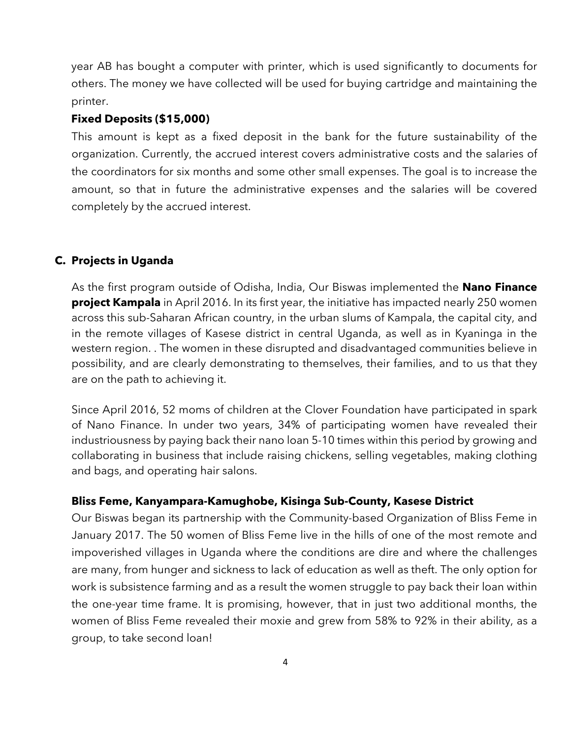year AB has bought a computer with printer, which is used significantly to documents for others. The money we have collected will be used for buying cartridge and maintaining the printer.

### **Fixed Deposits (\$15,000)**

This amount is kept as a fixed deposit in the bank for the future sustainability of the organization. Currently, the accrued interest covers administrative costs and the salaries of the coordinators for six months and some other small expenses. The goal is to increase the amount, so that in future the administrative expenses and the salaries will be covered completely by the accrued interest.

### **C. Projects in Uganda**

As the first program outside of Odisha, India, Our Biswas implemented the **Nano Finance project Kampala** in April 2016. In its first year, the initiative has impacted nearly 250 women across this sub-Saharan African country, in the urban slums of Kampala, the capital city, and in the remote villages of Kasese district in central Uganda, as well as in Kyaninga in the western region. . The women in these disrupted and disadvantaged communities believe in possibility, and are clearly demonstrating to themselves, their families, and to us that they are on the path to achieving it.

Since April 2016, 52 moms of children at the Clover Foundation have participated in spark of Nano Finance. In under two years, 34% of participating women have revealed their industriousness by paying back their nano loan 5-10 times within this period by growing and collaborating in business that include raising chickens, selling vegetables, making clothing and bags, and operating hair salons.

#### **Bliss Feme, Kanyampara-Kamughobe, Kisinga Sub-County, Kasese District**

Our Biswas began its partnership with the Community-based Organization of Bliss Feme in January 2017. The 50 women of Bliss Feme live in the hills of one of the most remote and impoverished villages in Uganda where the conditions are dire and where the challenges are many, from hunger and sickness to lack of education as well as theft. The only option for work is subsistence farming and as a result the women struggle to pay back their loan within the one-year time frame. It is promising, however, that in just two additional months, the women of Bliss Feme revealed their moxie and grew from 58% to 92% in their ability, as a group, to take second loan!